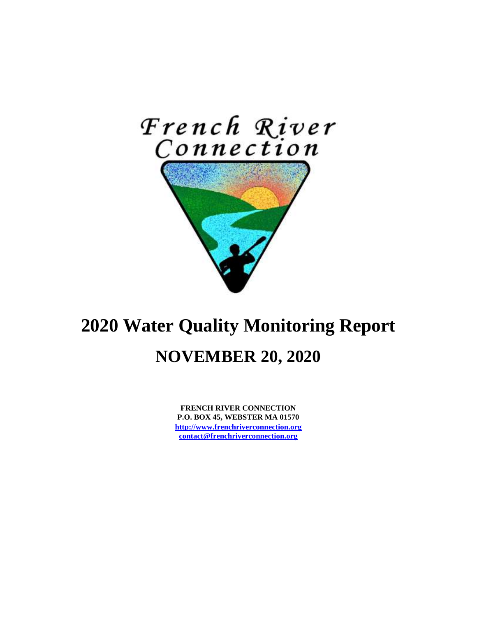

# **2020 Water Quality Monitoring Report NOVEMBER 20, 2020**

**FRENCH RIVER CONNECTION P.O. BOX 45, WEBSTER MA 01570 [http://www.frenchriverconnection.org](http://www.frenchriverconnection.org/) [contact@frenchriverconnection.org](mailto:contact@frenchriverconnection.org)**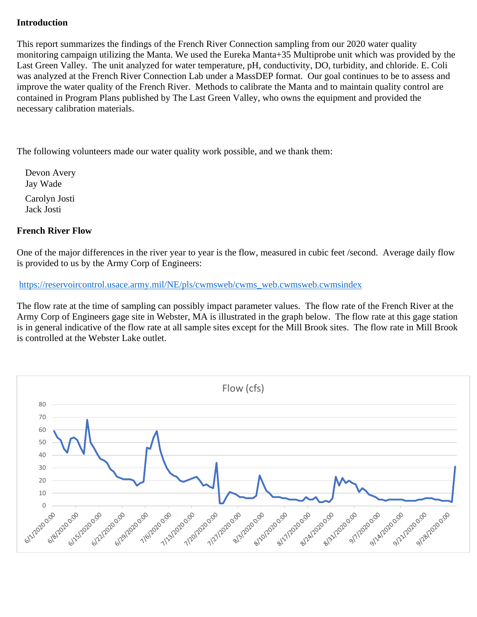#### **Introduction**

This report summarizes the findings of the French River Connection sampling from our 2020 water quality monitoring campaign utilizing the Manta. We used the Eureka Manta+35 Multiprobe unit which was provided by the Last Green Valley. The unit analyzed for water temperature, pH, conductivity, DO, turbidity, and chloride. E. Coli was analyzed at the French River Connection Lab under a MassDEP format. Our goal continues to be to assess and improve the water quality of the French River. Methods to calibrate the Manta and to maintain quality control are contained in Program Plans published by The Last Green Valley, who owns the equipment and provided the necessary calibration materials.

The following volunteers made our water quality work possible, and we thank them:

Devon Avery Jay Wade Carolyn Josti Jack Josti

#### **French River Flow**

One of the major differences in the river year to year is the flow, measured in cubic feet /second. Average daily flow is provided to us by the Army Corp of Engineers:

[https://reservoircontrol.usace.army.mil/NE/pls/cwmsweb/cwms\\_web.cwmsweb.cwmsindex](https://reservoircontrol.usace.army.mil/NE/pls/cwmsweb/cwms_web.cwmsweb.cwmsindex)

The flow rate at the time of sampling can possibly impact parameter values. The flow rate of the French River at the Army Corp of Engineers gage site in Webster, MA is illustrated in the graph below. The flow rate at this gage station is in general indicative of the flow rate at all sample sites except for the Mill Brook sites. The flow rate in Mill Brook is controlled at the Webster Lake outlet.

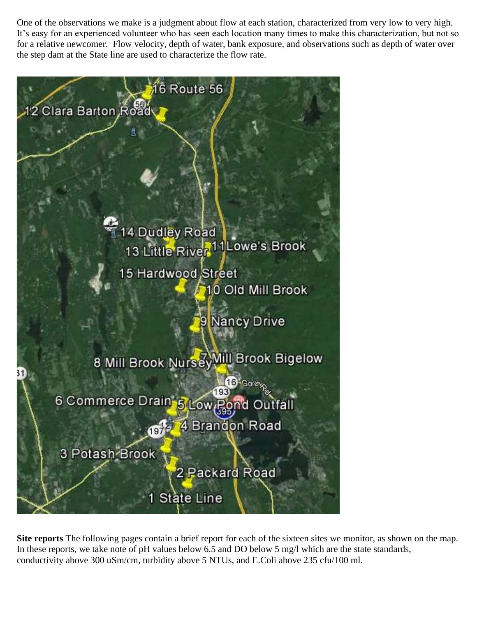One of the observations we make is a judgment about flow at each station, characterized from very low to very high. It's easy for an experienced volunteer who has seen each location many times to make this characterization, but not so for a relative newcomer. Flow velocity, depth of water, bank exposure, and observations such as depth of water over the step dam at the State line are used to characterize the flow rate.

![](_page_2_Picture_1.jpeg)

**Site reports** The following pages contain a brief report for each of the sixteen sites we monitor, as shown on the map. In these reports, we take note of pH values below 6.5 and DO below 5 mg/l which are the state standards, conductivity above 300 uSm/cm, turbidity above 5 NTUs, and E.Coli above 235 cfu/100 ml.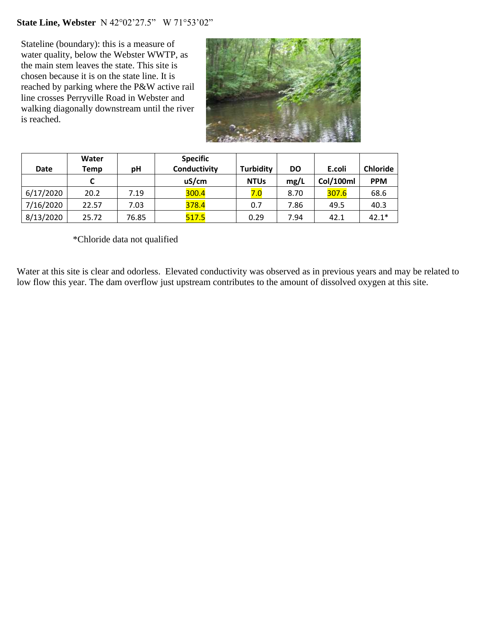## **State Line, Webster** N 42°02'27.5" W 71°53'02"

Stateline (boundary): this is a measure of water quality, below the Webster WWTP, as the main stem leaves the state. This site is chosen because it is on the state line. It is reached by parking where the P&W active rail line crosses Perryville Road in Webster and walking diagonally downstream until the river is reached.

![](_page_3_Picture_2.jpeg)

|             | Water |       | <b>Specific</b> |                  |           |           |                 |
|-------------|-------|-------|-----------------|------------------|-----------|-----------|-----------------|
| <b>Date</b> | Temp  | рH    | Conductivity    | <b>Turbidity</b> | <b>DO</b> | E.coli    | <b>Chloride</b> |
|             |       |       | uS/cm           | <b>NTUs</b>      | mg/L      | Col/100ml | <b>PPM</b>      |
| 6/17/2020   | 20.2  | 7.19  | 300.4           | 7.0              | 8.70      | 307.6     | 68.6            |
| 7/16/2020   | 22.57 | 7.03  | 378.4           | 0.7              | 7.86      | 49.5      | 40.3            |
| 8/13/2020   | 25.72 | 76.85 | 517.5           | 0.29             | 7.94      | 42.1      | $42.1*$         |

\*Chloride data not qualified

Water at this site is clear and odorless. Elevated conductivity was observed as in previous years and may be related to low flow this year. The dam overflow just upstream contributes to the amount of dissolved oxygen at this site.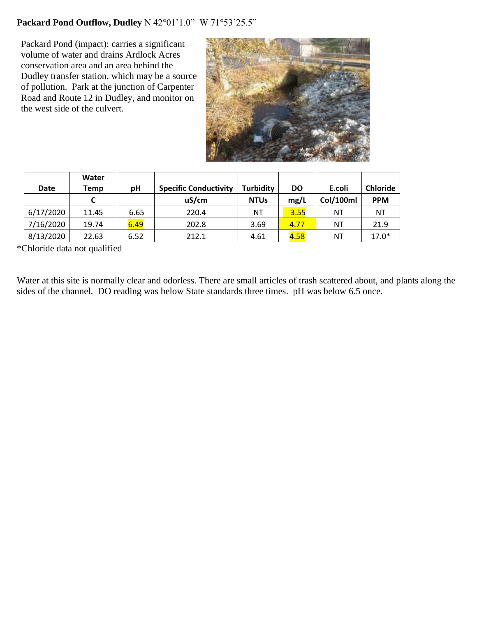## **Packard Pond Outflow, Dudley** N 42°01'1.0" W 71°53'25.5"

Packard Pond (impact): carries a significant volume of water and drains Ardlock Acres conservation area and an area behind the Dudley transfer station, which may be a source of pollution. Park at the junction of Carpenter Road and Route 12 in Dudley, and monitor on the west side of the culvert.

![](_page_4_Picture_2.jpeg)

| <b>Date</b> | Water<br>Temp | рH   | <b>Specific Conductivity</b> | <b>Turbidity</b> | <b>DO</b> | E.coli    | <b>Chloride</b> |
|-------------|---------------|------|------------------------------|------------------|-----------|-----------|-----------------|
|             |               |      | uS/cm                        | <b>NTUs</b>      | mg/L      | Col/100ml | <b>PPM</b>      |
| 6/17/2020   | 11.45         | 6.65 | 220.4                        | ΝT               | 3.55      | ΝT        | NT              |
| 7/16/2020   | 19.74         | 6.49 | 202.8                        | 3.69             | 4.77      | ΝT        | 21.9            |
| 8/13/2020   | 22.63         | 6.52 | 212.1                        | 4.61             | 4.58      | NT        | $17.0*$         |

\*Chloride data not qualified

Water at this site is normally clear and odorless. There are small articles of trash scattered about, and plants along the sides of the channel. DO reading was below State standards three times. pH was below 6.5 once.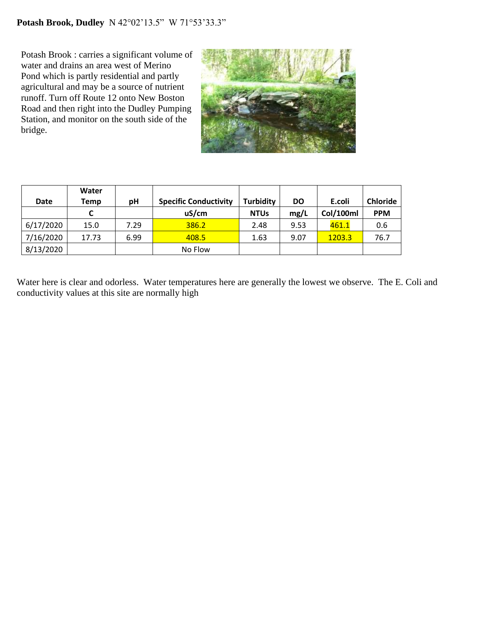Potash Brook : carries a significant volume of water and drains an area west of Merino Pond which is partly residential and partly agricultural and may be a source of nutrient runoff. Turn off Route 12 onto New Boston Road and then right into the Dudley Pumping Station, and monitor on the south side of the bridge.

![](_page_5_Picture_2.jpeg)

| Date      | Water<br>Temp | рH   | <b>Specific Conductivity</b> | <b>Turbidity</b> | <b>DO</b> | E.coli    | <b>Chloride</b> |
|-----------|---------------|------|------------------------------|------------------|-----------|-----------|-----------------|
|           |               |      | uS/cm                        | <b>NTUs</b>      | mg/L      | Col/100ml | <b>PPM</b>      |
| 6/17/2020 | 15.0          | 7.29 | 386.2                        | 2.48             | 9.53      | 461.1     | 0.6             |
| 7/16/2020 | 17.73         | 6.99 | 408.5                        | 1.63             | 9.07      | 1203.3    | 76.7            |
| 8/13/2020 |               |      | No Flow                      |                  |           |           |                 |

Water here is clear and odorless. Water temperatures here are generally the lowest we observe. The E. Coli and conductivity values at this site are normally high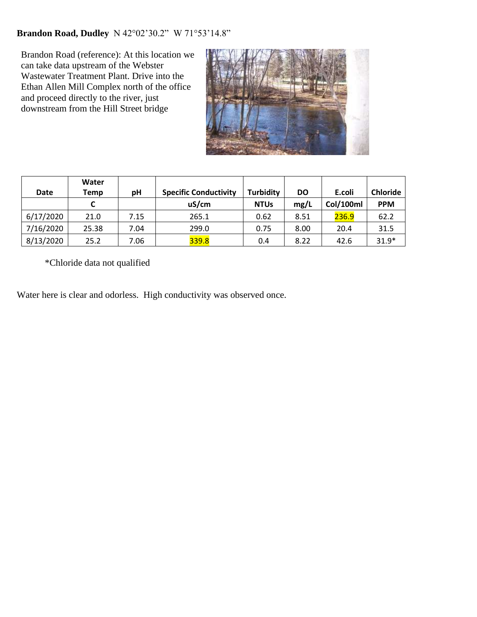## **Brandon Road, Dudley** N 42°02'30.2" W 71°53'14.8"

Brandon Road (reference): At this location we can take data upstream of the Webster Wastewater Treatment Plant. Drive into the Ethan Allen Mill Complex north of the office and proceed directly to the river, just downstream from the Hill Street bridge

![](_page_6_Picture_2.jpeg)

| <b>Date</b> | Water | рH   | <b>Specific Conductivity</b> | <b>Turbidity</b> | <b>DO</b> | E.coli    | <b>Chloride</b> |
|-------------|-------|------|------------------------------|------------------|-----------|-----------|-----------------|
|             | Temp  |      |                              |                  |           |           |                 |
|             |       |      | uS/cm                        | <b>NTUs</b>      | mg/L      | Col/100ml | <b>PPM</b>      |
| 6/17/2020   | 21.0  | 7.15 | 265.1                        | 0.62             | 8.51      | 236.9     | 62.2            |
| 7/16/2020   | 25.38 | 7.04 | 299.0                        | 0.75             | 8.00      | 20.4      | 31.5            |
| 8/13/2020   | 25.2  | 7.06 | 339.8                        | 0.4              | 8.22      | 42.6      | $31.9*$         |

\*Chloride data not qualified

Water here is clear and odorless. High conductivity was observed once.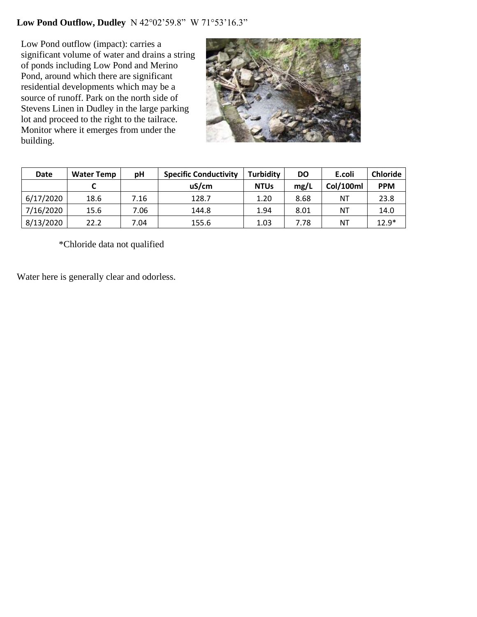## **Low Pond Outflow, Dudley** N 42°02'59.8" W 71°53'16.3"

Low Pond outflow (impact): carries a significant volume of water and drains a string of ponds including Low Pond and Merino Pond, around which there are significant residential developments which may be a source of runoff. Park on the north side of Stevens Linen in Dudley in the large parking lot and proceed to the right to the tailrace. Monitor where it emerges from under the building.

![](_page_7_Picture_2.jpeg)

| Date      | <b>Water Temp</b> | рH   | <b>Specific Conductivity</b> | <b>Turbidity</b> | <b>DO</b> | E.coli    | <b>Chloride</b> |
|-----------|-------------------|------|------------------------------|------------------|-----------|-----------|-----------------|
|           |                   |      | uS/cm                        | <b>NTUs</b>      | mg/L      | Col/100ml | <b>PPM</b>      |
| 6/17/2020 | 18.6              | 7.16 | 128.7                        | 1.20             | 8.68      | NΤ        | 23.8            |
| 7/16/2020 | 15.6              | 7.06 | 144.8                        | 1.94             | 8.01      | NT        | 14.0            |
| 8/13/2020 | 22.2              | 7.04 | 155.6                        | 1.03             | 7.78      | NΤ        | $12.9*$         |

\*Chloride data not qualified

Water here is generally clear and odorless.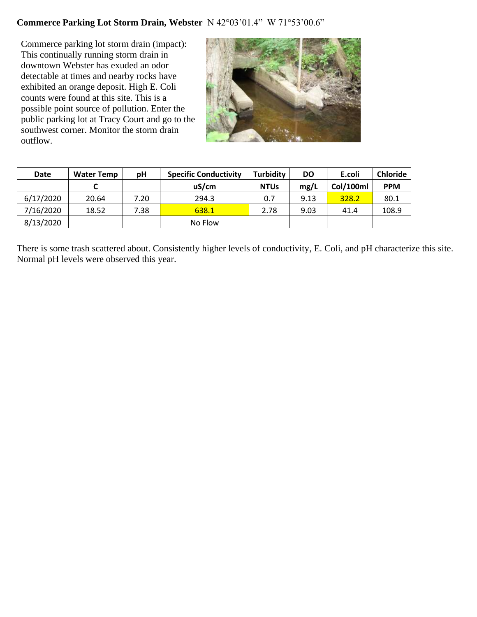## **Commerce Parking Lot Storm Drain, Webster** N 42°03'01.4" W 71°53'00.6"

Commerce parking lot storm drain (impact): This continually running storm drain in downtown Webster has exuded an odor detectable at times and nearby rocks have exhibited an orange deposit. High E. Coli counts were found at this site. This is a possible point source of pollution. Enter the public parking lot at Tracy Court and go to the southwest corner. Monitor the storm drain outflow.

![](_page_8_Picture_2.jpeg)

| <b>Date</b> | <b>Water Temp</b> | рH   | <b>Specific Conductivity</b> | <b>Turbidity</b> | DO   | E.coli    | <b>Chloride</b> |
|-------------|-------------------|------|------------------------------|------------------|------|-----------|-----------------|
|             |                   |      | uS/cm                        | <b>NTUs</b>      | mg/L | Col/100ml | <b>PPM</b>      |
| 6/17/2020   | 20.64             | 7.20 | 294.3                        | 0.7              | 9.13 | 328.2     | 80.1            |
| 7/16/2020   | 18.52             | 7.38 | 638.1                        | 2.78             | 9.03 | 41.4      | 108.9           |
| 8/13/2020   |                   |      | No Flow                      |                  |      |           |                 |

There is some trash scattered about. Consistently higher levels of conductivity, E. Coli, and pH characterize this site. Normal pH levels were observed this year.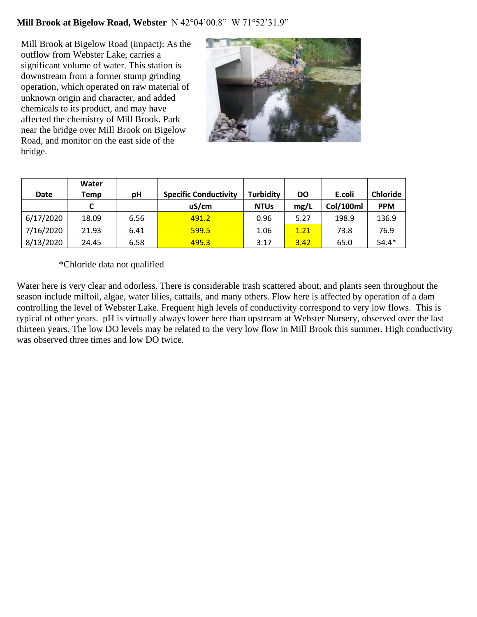#### **Mill Brook at Bigelow Road, Webster** N 42°04'00.8" W 71°52'31.9"

Mill Brook at Bigelow Road (impact): As the outflow from Webster Lake, carries a significant volume of water. This station is downstream from a former stump grinding operation, which operated on raw material of unknown origin and character, and added chemicals to its product, and may have affected the chemistry of Mill Brook. Park near the bridge over Mill Brook on Bigelow Road, and monitor on the east side of the bridge.

![](_page_9_Picture_2.jpeg)

|             | Water |      |                              |                  |           |           |                 |
|-------------|-------|------|------------------------------|------------------|-----------|-----------|-----------------|
| <b>Date</b> | Temp  | рH   | <b>Specific Conductivity</b> | <b>Turbidity</b> | <b>DO</b> | E.coli    | <b>Chloride</b> |
|             |       |      | uS/cm                        | <b>NTUs</b>      | mg/L      | Col/100ml | <b>PPM</b>      |
| 6/17/2020   | 18.09 | 6.56 | 491.2                        | 0.96             | 5.27      | 198.9     | 136.9           |
| 7/16/2020   | 21.93 | 6.41 | 599.5                        | 1.06             | 1.21      | 73.8      | 76.9            |
| 8/13/2020   | 24.45 | 6.58 | 495.3                        | 3.17             | 3.42      | 65.0      | $54.4*$         |

\*Chloride data not qualified

Water here is very clear and odorless. There is considerable trash scattered about, and plants seen throughout the season include milfoil, algae, water lilies, cattails, and many others. Flow here is affected by operation of a dam controlling the level of Webster Lake. Frequent high levels of conductivity correspond to very low flows. This is typical of other years. pH is virtually always lower here than upstream at Webster Nursery, observed over the last thirteen years. The low DO levels may be related to the very low flow in Mill Brook this summer. High conductivity was observed three times and low DO twice.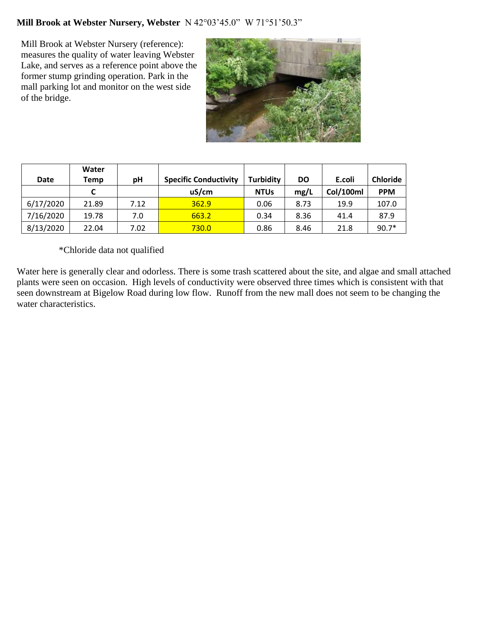## **Mill Brook at Webster Nursery, Webster** N 42°03'45.0" W 71°51'50.3"

Mill Brook at Webster Nursery (reference): measures the quality of water leaving Webster Lake, and serves as a reference point above the former stump grinding operation. Park in the mall parking lot and monitor on the west side of the bridge.

![](_page_10_Picture_2.jpeg)

| Date      | Water<br>Temp | рH   | <b>Specific Conductivity</b> | <b>Turbidity</b> | <b>DO</b> | E.coli    | <b>Chloride</b> |
|-----------|---------------|------|------------------------------|------------------|-----------|-----------|-----------------|
|           | C             |      | uS/cm                        | <b>NTUs</b>      | mg/L      | Col/100ml | <b>PPM</b>      |
| 6/17/2020 | 21.89         | 7.12 | 362.9                        | 0.06             | 8.73      | 19.9      | 107.0           |
| 7/16/2020 | 19.78         | 7.0  | 663.2                        | 0.34             | 8.36      | 41.4      | 87.9            |
| 8/13/2020 | 22.04         | 7.02 | 730.0                        | 0.86             | 8.46      | 21.8      | $90.7*$         |

\*Chloride data not qualified

Water here is generally clear and odorless. There is some trash scattered about the site, and algae and small attached plants were seen on occasion. High levels of conductivity were observed three times which is consistent with that seen downstream at Bigelow Road during low flow. Runoff from the new mall does not seem to be changing the water characteristics.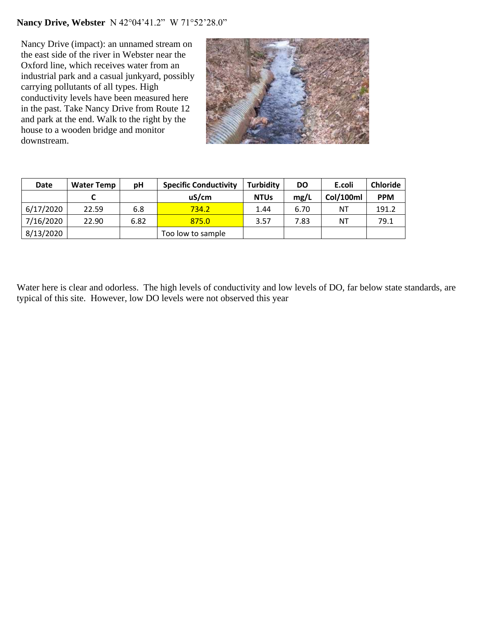## **Nancy Drive, Webster** N 42°04'41.2" W 71°52'28.0"

Nancy Drive (impact): an unnamed stream on the east side of the river in Webster near the Oxford line, which receives water from an industrial park and a casual junkyard, possibly carrying pollutants of all types. High conductivity levels have been measured here in the past. Take Nancy Drive from Route 12 and park at the end. Walk to the right by the house to a wooden bridge and monitor downstream.

![](_page_11_Picture_2.jpeg)

| <b>Date</b> | <b>Water Temp</b> | рH   | <b>Specific Conductivity</b> | <b>Turbidity</b> | <b>DO</b> | E.coli    | <b>Chloride</b> |
|-------------|-------------------|------|------------------------------|------------------|-----------|-----------|-----------------|
|             |                   |      | uS/cm                        | <b>NTUs</b>      | mg/L      | Col/100ml | <b>PPM</b>      |
| 6/17/2020   | 22.59             | 6.8  | 734.2                        | 1.44             | 6.70      | ΝT        | 191.2           |
| 7/16/2020   | 22.90             | 6.82 | 875.0                        | 3.57             | 7.83      | ΝT        | 79.1            |
| 8/13/2020   |                   |      | Too low to sample            |                  |           |           |                 |

Water here is clear and odorless. The high levels of conductivity and low levels of DO, far below state standards, are typical of this site. However, low DO levels were not observed this year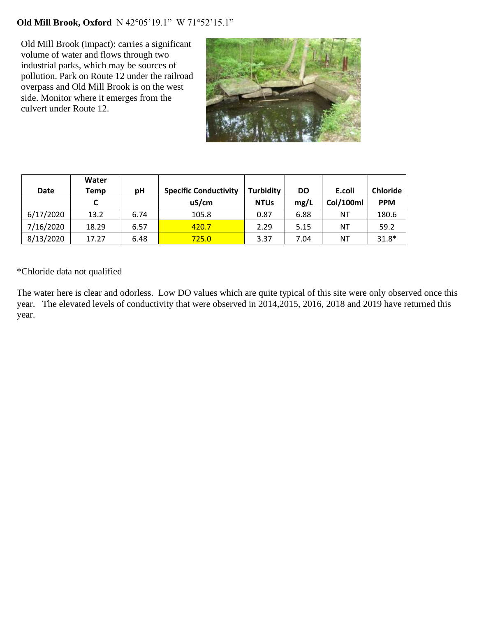## **Old Mill Brook, Oxford** N 42°05'19.1" W 71°52'15.1"

Old Mill Brook (impact): carries a significant volume of water and flows through two industrial parks, which may be sources of pollution. Park on Route 12 under the railroad overpass and Old Mill Brook is on the west side. Monitor where it emerges from the culvert under Route 12.

![](_page_12_Picture_2.jpeg)

|             | Water |      |                              |                  |           |           |                 |
|-------------|-------|------|------------------------------|------------------|-----------|-----------|-----------------|
| <b>Date</b> | Temp  | рH   | <b>Specific Conductivity</b> | <b>Turbidity</b> | <b>DO</b> | E.coli    | <b>Chloride</b> |
|             |       |      | uS/cm                        | <b>NTUs</b>      | mg/L      | Col/100ml | <b>PPM</b>      |
| 6/17/2020   | 13.2  | 6.74 | 105.8                        | 0.87             | 6.88      | NΤ        | 180.6           |
| 7/16/2020   | 18.29 | 6.57 | 420.7                        | 2.29             | 5.15      | ΝT        | 59.2            |
| 8/13/2020   | 17.27 | 6.48 | 725.0                        | 3.37             | 7.04      | ΝT        | $31.8*$         |

\*Chloride data not qualified

The water here is clear and odorless. Low DO values which are quite typical of this site were only observed once this year. The elevated levels of conductivity that were observed in 2014, 2015, 2016, 2018 and 2019 have returned this year.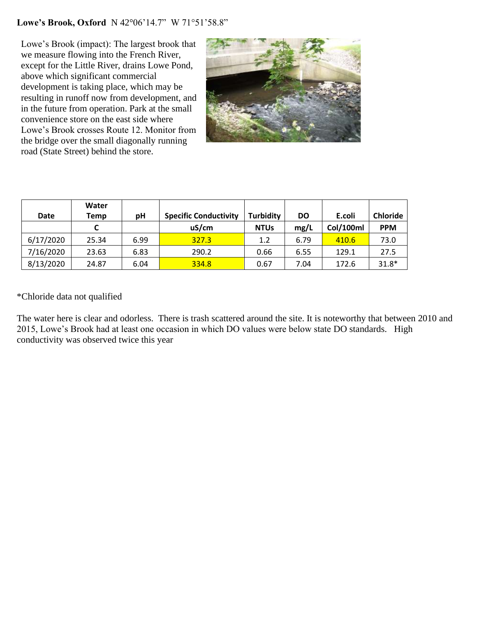#### **Lowe's Brook, Oxford** N 42°06'14.7" W 71°51'58.8"

Lowe's Brook (impact): The largest brook that we measure flowing into the French River, except for the Little River, drains Lowe Pond, above which significant commercial development is taking place, which may be resulting in runoff now from development, and in the future from operation. Park at the small convenience store on the east side where Lowe's Brook crosses Route 12. Monitor from the bridge over the small diagonally running road (State Street) behind the store.

![](_page_13_Picture_2.jpeg)

| <b>Date</b> | Water<br>Temp | рH   | <b>Specific Conductivity</b> | <b>Turbidity</b> | <b>DO</b> | E.coli    | <b>Chloride</b> |
|-------------|---------------|------|------------------------------|------------------|-----------|-----------|-----------------|
|             |               |      | uS/cm                        | <b>NTUs</b>      | mg/L      | Col/100ml | <b>PPM</b>      |
| 6/17/2020   | 25.34         | 6.99 | 327.3                        | 1.2              | 6.79      | 410.6     | 73.0            |
| 7/16/2020   | 23.63         | 6.83 | 290.2                        | 0.66             | 6.55      | 129.1     | 27.5            |
| 8/13/2020   | 24.87         | 6.04 | 334.8                        | 0.67             | 7.04      | 172.6     | $31.8*$         |

\*Chloride data not qualified

The water here is clear and odorless. There is trash scattered around the site. It is noteworthy that between 2010 and 2015, Lowe's Brook had at least one occasion in which DO values were below state DO standards. High conductivity was observed twice this year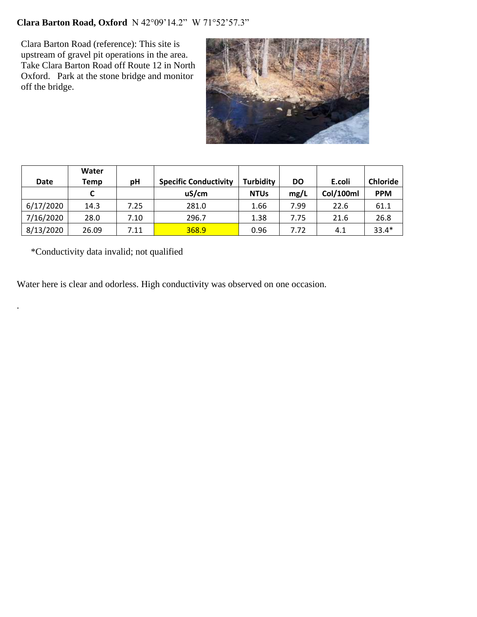## **Clara Barton Road, Oxford** N 42°09'14.2" W 71°52'57.3"

Clara Barton Road (reference): This site is upstream of gravel pit operations in the area. Take Clara Barton Road off Route 12 in North Oxford. Park at the stone bridge and monitor off the bridge.

![](_page_14_Picture_2.jpeg)

| Date      | Water<br>Temp | рH   | <b>Specific Conductivity</b> | <b>Turbidity</b> | DO   | E.coli    | <b>Chloride</b> |
|-----------|---------------|------|------------------------------|------------------|------|-----------|-----------------|
|           |               |      | uS/cm                        | <b>NTUs</b>      | mg/L | Col/100ml | <b>PPM</b>      |
| 6/17/2020 | 14.3          | 7.25 | 281.0                        | 1.66             | 7.99 | 22.6      | 61.1            |
| 7/16/2020 | 28.0          | 7.10 | 296.7                        | 1.38             | 7.75 | 21.6      | 26.8            |
| 8/13/2020 | 26.09         | 7.11 | 368.9                        | 0.96             | 7.72 | 4.1       | $33.4*$         |

\*Conductivity data invalid; not qualified

.

Water here is clear and odorless. High conductivity was observed on one occasion.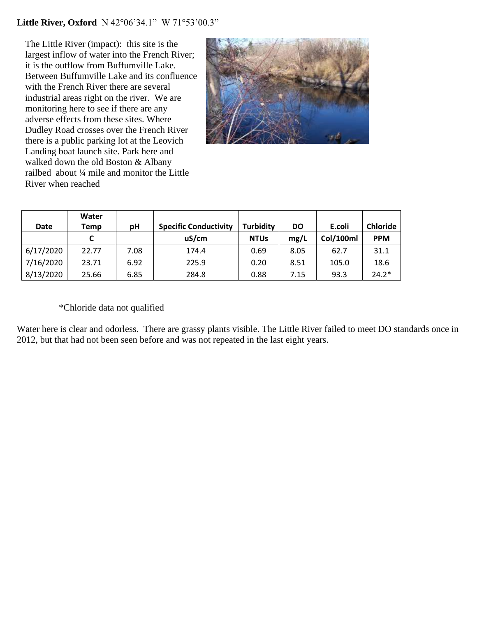#### **Little River, Oxford** N 42°06'34.1" W 71°53'00.3"

The Little River (impact): this site is the largest inflow of water into the French River; it is the outflow from Buffumville Lake. Between Buffumville Lake and its confluence with the French River there are several industrial areas right on the river. We are monitoring here to see if there are any adverse effects from these sites. Where Dudley Road crosses over the French River there is a public parking lot at the Leovich Landing boat launch site. Park here and walked down the old Boston & Albany railbed about ¼ mile and monitor the Little River when reached

![](_page_15_Picture_2.jpeg)

| <b>Date</b> | Water<br>Temp | рH   | <b>Specific Conductivity</b> | <b>Turbidity</b> | DO   | E.coli           | <b>Chloride</b> |
|-------------|---------------|------|------------------------------|------------------|------|------------------|-----------------|
|             |               |      | uS/cm                        | <b>NTUs</b>      | mg/L | <b>Col/100ml</b> | <b>PPM</b>      |
| 6/17/2020   | 22.77         | 7.08 | 174.4                        | 0.69             | 8.05 | 62.7             | 31.1            |
| 7/16/2020   | 23.71         | 6.92 | 225.9                        | 0.20             | 8.51 | 105.0            | 18.6            |
| 8/13/2020   | 25.66         | 6.85 | 284.8                        | 0.88             | 7.15 | 93.3             | $24.2*$         |

#### \*Chloride data not qualified

Water here is clear and odorless. There are grassy plants visible. The Little River failed to meet DO standards once in 2012, but that had not been seen before and was not repeated in the last eight years.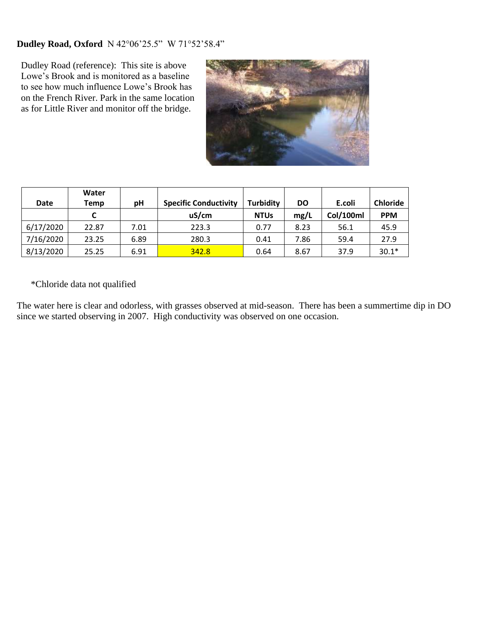## **Dudley Road, Oxford** N 42°06'25.5" W 71°52'58.4"

Dudley Road (reference): This site is above Lowe's Brook and is monitored as a baseline to see how much influence Lowe's Brook has on the French River. Park in the same location as for Little River and monitor off the bridge.

![](_page_16_Picture_2.jpeg)

|             | Water |      |                              |                  |      |           |                 |
|-------------|-------|------|------------------------------|------------------|------|-----------|-----------------|
| <b>Date</b> | Temp  | рH   | <b>Specific Conductivity</b> | <b>Turbidity</b> | DO   | E.coli    | <b>Chloride</b> |
|             |       |      | uS/cm                        | <b>NTUs</b>      | mg/L | Col/100ml | <b>PPM</b>      |
| 6/17/2020   | 22.87 | 7.01 | 223.3                        | 0.77             | 8.23 | 56.1      | 45.9            |
| 7/16/2020   | 23.25 | 6.89 | 280.3                        | 0.41             | 7.86 | 59.4      | 27.9            |
| 8/13/2020   | 25.25 | 6.91 | 342.8                        | 0.64             | 8.67 | 37.9      | $30.1*$         |

\*Chloride data not qualified

The water here is clear and odorless, with grasses observed at mid-season. There has been a summertime dip in DO since we started observing in 2007. High conductivity was observed on one occasion.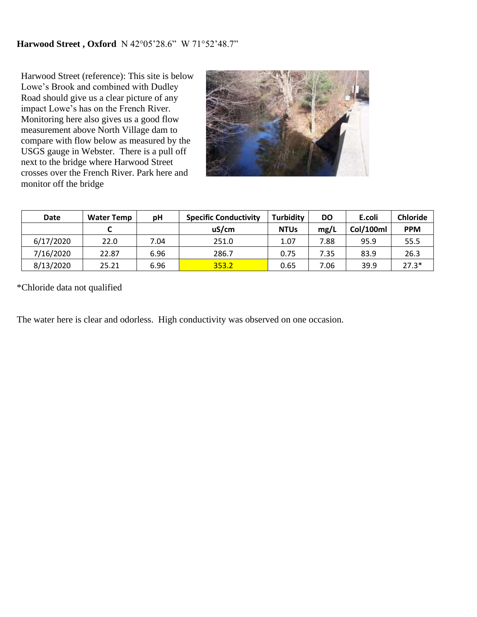#### **Harwood Street , Oxford** N 42°05'28.6" W 71°52'48.7"

Harwood Street (reference): This site is below Lowe's Brook and combined with Dudley Road should give us a clear picture of any impact Lowe's has on the French River. Monitoring here also gives us a good flow measurement above North Village dam to compare with flow below as measured by the USGS gauge in Webster. There is a pull off next to the bridge where Harwood Street crosses over the French River. Park here and monitor off the bridge

![](_page_17_Picture_2.jpeg)

| <b>Date</b> | <b>Water Temp</b> | рH   | <b>Specific Conductivity</b> | <b>Turbidity</b> | DO   | E.coli    | <b>Chloride</b> |
|-------------|-------------------|------|------------------------------|------------------|------|-----------|-----------------|
|             |                   |      | uS/cm                        | <b>NTUs</b>      | mg/L | Col/100ml | <b>PPM</b>      |
| 6/17/2020   | 22.0              | 7.04 | 251.0                        | 1.07             | 7.88 | 95.9      | 55.5            |
| 7/16/2020   | 22.87             | 6.96 | 286.7                        | 0.75             | 7.35 | 83.9      | 26.3            |
| 8/13/2020   | 25.21             | 6.96 | 353.2                        | 0.65             | 7.06 | 39.9      | $27.3*$         |

\*Chloride data not qualified

The water here is clear and odorless. High conductivity was observed on one occasion.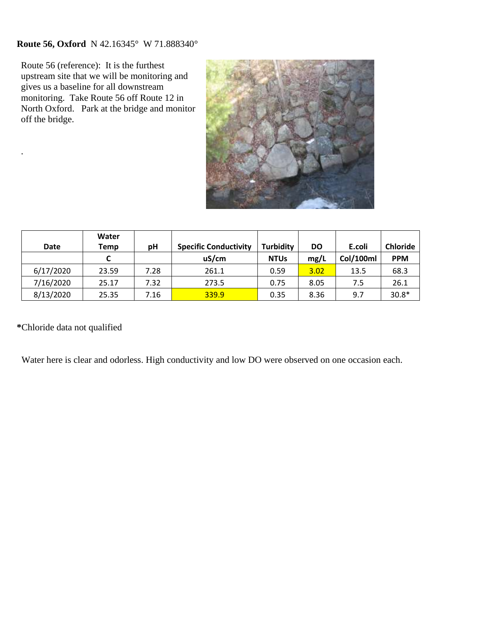## **Route 56, Oxford** N 42.16345° W 71.888340°

Route 56 (reference): It is the furthest upstream site that we will be monitoring and gives us a baseline for all downstream monitoring. Take Route 56 off Route 12 in North Oxford. Park at the bridge and monitor off the bridge.

![](_page_18_Picture_2.jpeg)

| <b>Date</b> | Water<br>Temp | рH   | <b>Specific Conductivity</b> | <b>Turbidity</b> | DO   | E.coli    | <b>Chloride</b> |
|-------------|---------------|------|------------------------------|------------------|------|-----------|-----------------|
|             | C             |      | uS/cm                        | <b>NTUs</b>      | mg/L | Col/100ml | <b>PPM</b>      |
| 6/17/2020   | 23.59         | 7.28 | 261.1                        | 0.59             | 3.02 | 13.5      | 68.3            |
| 7/16/2020   | 25.17         | 7.32 | 273.5                        | 0.75             | 8.05 | 7.5       | 26.1            |
| 8/13/2020   | 25.35         | 7.16 | 339.9                        | 0.35             | 8.36 | 9.7       | $30.8*$         |

**\***Chloride data not qualified

.

Water here is clear and odorless. High conductivity and low DO were observed on one occasion each.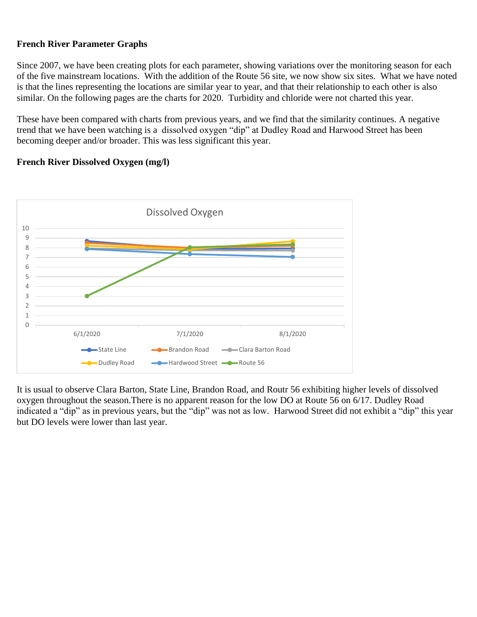#### **French River Parameter Graphs**

Since 2007, we have been creating plots for each parameter, showing variations over the monitoring season for each of the five mainstream locations. With the addition of the Route 56 site, we now show six sites. What we have noted is that the lines representing the locations are similar year to year, and that their relationship to each other is also similar. On the following pages are the charts for 2020. Turbidity and chloride were not charted this year.

These have been compared with charts from previous years, and we find that the similarity continues. A negative trend that we have been watching is a dissolved oxygen "dip" at Dudley Road and Harwood Street has been becoming deeper and/or broader. This was less significant this year.

#### **French River Dissolved Oxygen (mg/l)**

![](_page_19_Figure_4.jpeg)

It is usual to observe Clara Barton, State Line, Brandon Road, and Routr 56 exhibiting higher levels of dissolved oxygen throughout the season.There is no apparent reason for the low DO at Route 56 on 6/17. Dudley Road indicated a "dip" as in previous years, but the "dip" was not as low. Harwood Street did not exhibit a "dip" this year but DO levels were lower than last year.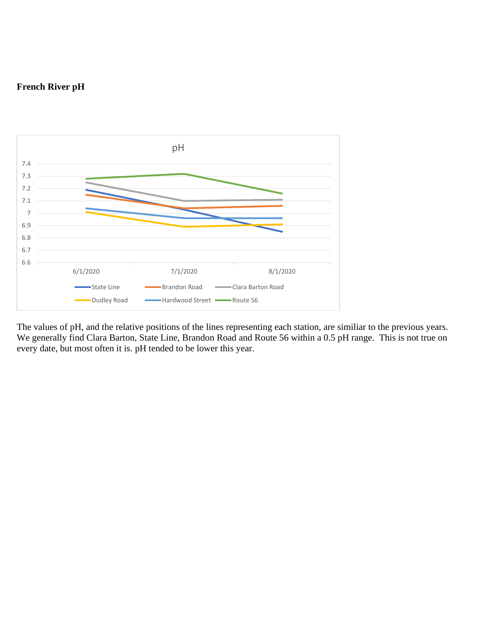## **French River pH**

![](_page_20_Figure_1.jpeg)

The values of pH, and the relative positions of the lines representing each station, are similiar to the previous years. We generally find Clara Barton, State Line, Brandon Road and Route 56 within a 0.5 pH range. This is not true on every date, but most often it is. pH tended to be lower this year.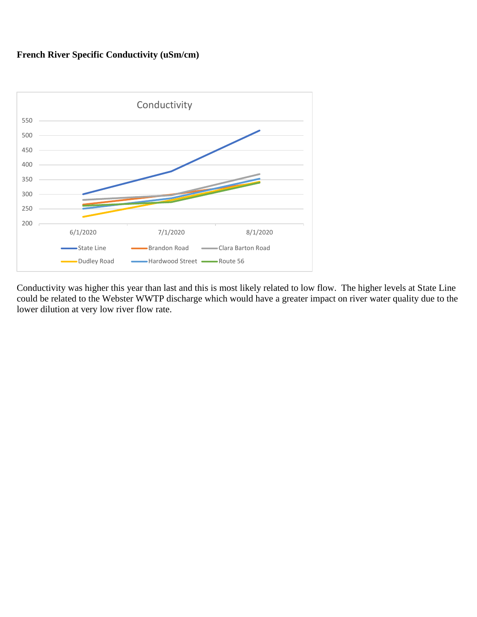## **French River Specific Conductivity (uSm/cm)**

![](_page_21_Figure_1.jpeg)

Conductivity was higher this year than last and this is most likely related to low flow. The higher levels at State Line could be related to the Webster WWTP discharge which would have a greater impact on river water quality due to the lower dilution at very low river flow rate.